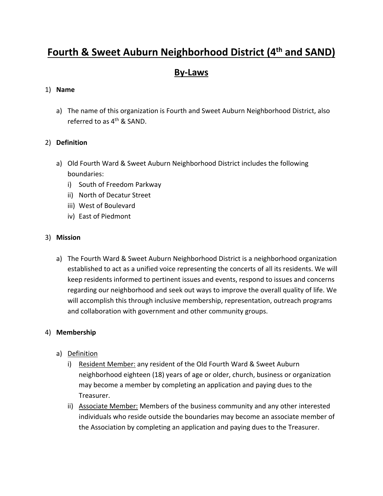# **Fourth & Sweet Auburn Neighborhood District (4th and SAND)**

# **By-Laws**

#### 1) **Name**

a) The name of this organization is Fourth and Sweet Auburn Neighborhood District, also referred to as 4<sup>th</sup> & SAND.

#### 2) **Definition**

- a) Old Fourth Ward & Sweet Auburn Neighborhood District includes the following boundaries:
	- i) South of Freedom Parkway
	- ii) North of Decatur Street
	- iii) West of Boulevard
	- iv) East of Piedmont

#### 3) **Mission**

a) The Fourth Ward & Sweet Auburn Neighborhood District is a neighborhood organization established to act as a unified voice representing the concerts of all its residents. We will keep residents informed to pertinent issues and events, respond to issues and concerns regarding our neighborhood and seek out ways to improve the overall quality of life. We will accomplish this through inclusive membership, representation, outreach programs and collaboration with government and other community groups.

#### 4) **Membership**

- a) Definition
	- i) Resident Member: any resident of the Old Fourth Ward & Sweet Auburn neighborhood eighteen (18) years of age or older, church, business or organization may become a member by completing an application and paying dues to the Treasurer.
	- ii) Associate Member: Members of the business community and any other interested individuals who reside outside the boundaries may become an associate member of the Association by completing an application and paying dues to the Treasurer.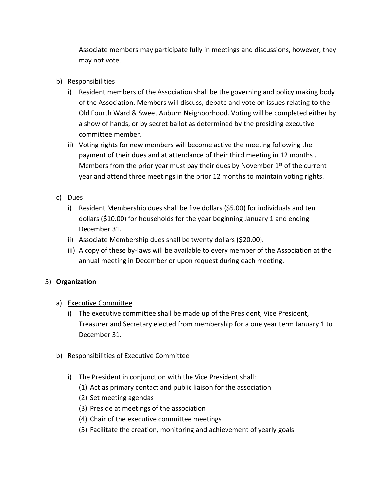Associate members may participate fully in meetings and discussions, however, they may not vote.

#### b) Responsibilities

- i) Resident members of the Association shall be the governing and policy making body of the Association. Members will discuss, debate and vote on issues relating to the Old Fourth Ward & Sweet Auburn Neighborhood. Voting will be completed either by a show of hands, or by secret ballot as determined by the presiding executive committee member.
- ii) Voting rights for new members will become active the meeting following the payment of their dues and at attendance of their third meeting in 12 months . Members from the prior year must pay their dues by November 1<sup>st</sup> of the current year and attend three meetings in the prior 12 months to maintain voting rights.

# c) Dues

- i) Resident Membership dues shall be five dollars (\$5.00) for individuals and ten dollars (\$10.00) for households for the year beginning January 1 and ending December 31.
- ii) Associate Membership dues shall be twenty dollars (\$20.00).
- iii) A copy of these by-laws will be available to every member of the Association at the annual meeting in December or upon request during each meeting.

#### 5) **Organization**

- a) Executive Committee
	- i) The executive committee shall be made up of the President, Vice President, Treasurer and Secretary elected from membership for a one year term January 1 to December 31.

#### b) Responsibilities of Executive Committee

- i) The President in conjunction with the Vice President shall:
	- (1) Act as primary contact and public liaison for the association
	- (2) Set meeting agendas
	- (3) Preside at meetings of the association
	- (4) Chair of the executive committee meetings
	- (5) Facilitate the creation, monitoring and achievement of yearly goals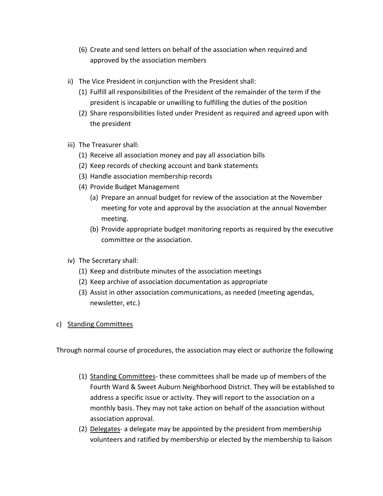- (6) Create and send letters on behalf of the association when required and approved by the association members
- ii) The Vice President in conjunction with the President shall:
	- (1) Fulfill all responsibilities of the President of the remainder of the term if the president is incapable or unwilling to fulfilling the duties of the position
	- (2) Share responsibilities listed under President as required and agreed upon with the president
- iii) The Treasurer shall:
	- (1) Receive all association money and pay all association bills
	- (2) Keep records of checking account and bank statements
	- (3) Handle association membership records
	- (4) Provide Budget Management
		- (a) Prepare an annual budget for review of the association at the November meeting for vote and approval by the association at the annual November meeting.
		- (b) Provide appropriate budget monitoring reports as required by the executive committee or the association.
- iv) The Secretary shall:
	- (1) Keep and distribute minutes of the association meetings
	- (2) Keep archive of association documentation as appropriate
	- (3) Assist in other association communications, as needed (meeting agendas, newsletter, etc.)
- c) Standing Committees

Through normal course of procedures, the association may elect or authorize the following

- (1) Standing Committees- these committees shall be made up of members of the Fourth Ward & Sweet Auburn Neighborhood District. They will be established to address a specific issue or activity. They will report to the association on a monthly basis. They may not take action on behalf of the association without association approval.
- (2) Delegates- a delegate may be appointed by the president from membership volunteers and ratified by membership or elected by the membership to liaison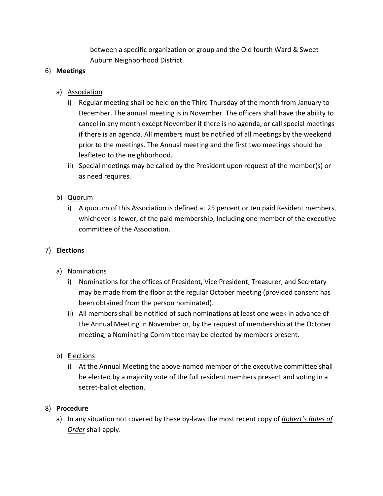between a specific organization or group and the Old fourth Ward & Sweet Auburn Neighborhood District.

#### 6) **Meetings**

# a) Association

- i) Regular meeting shall be held on the Third Thursday of the month from January to December. The annual meeting is in November. The officers shall have the ability to cancel in any month except November if there is no agenda, or call special meetings if there is an agenda. All members must be notified of all meetings by the weekend prior to the meetings. The Annual meeting and the first two meetings should be leafleted to the neighborhood.
- ii) Special meetings may be called by the President upon request of the member(s) or as need requires.

# b) Quorum

i) A quorum of this Association is defined at 25 percent or ten paid Resident members, whichever is fewer, of the paid membership, including one member of the executive committee of the Association.

#### 7) **Elections**

- a) Nominations
	- i) Nominations for the offices of President, Vice President, Treasurer, and Secretary may be made from the floor at the regular October meeting (provided consent has been obtained from the person nominated).
	- ii) All members shall be notified of such nominations at least one week in advance of the Annual Meeting in November or, by the request of membership at the October meeting, a Nominating Committee may be elected by members present.
- b) Elections
	- i) At the Annual Meeting the above-named member of the executive committee shall be elected by a majority vote of the full resident members present and voting in a secret-ballot election.

#### 8) **Procedure**

a) In any situation not covered by these by-laws the most recent copy of *Robert's Rules of Order* shall apply.